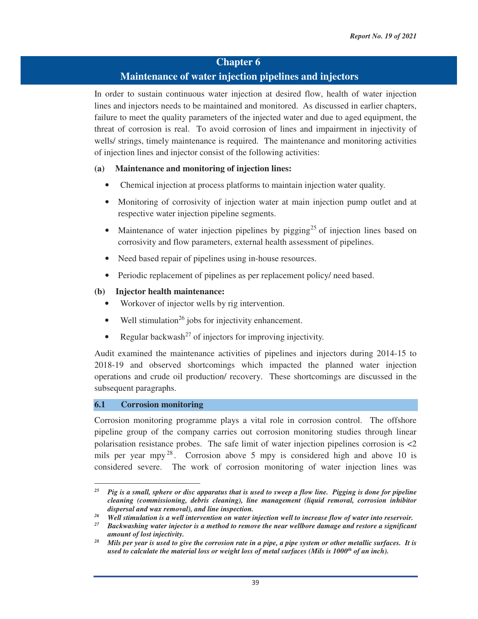# **Chapter 6**

# **Maintenance of water injection pipelines and injectors**

In order to sustain continuous water injection at desired flow, health of water injection lines and injectors needs to be maintained and monitored. As discussed in earlier chapters, failure to meet the quality parameters of the injected water and due to aged equipment, the threat of corrosion is real. To avoid corrosion of lines and impairment in injectivity of wells/ strings, timely maintenance is required. The maintenance and monitoring activities of injection lines and injector consist of the following activities:

# **(a) Maintenance and monitoring of injection lines:**

- Chemical injection at process platforms to maintain injection water quality.
- Monitoring of corrosivity of injection water at main injection pump outlet and at respective water injection pipeline segments.
- Maintenance of water injection pipelines by pigging<sup>25</sup> of injection lines based on corrosivity and flow parameters, external health assessment of pipelines.
- Need based repair of pipelines using in-house resources.
- Periodic replacement of pipelines as per replacement policy/ need based.

#### **(b) Injector health maintenance:**

- Workover of injector wells by rig intervention.
- Well stimulation<sup>26</sup> jobs for injectivity enhancement.
- Regular backwash<sup>27</sup> of injectors for improving injectivity.

Audit examined the maintenance activities of pipelines and injectors during 2014-15 to 2018-19 and observed shortcomings which impacted the planned water injection operations and crude oil production/ recovery. These shortcomings are discussed in the subsequent paragraphs.

#### **6.1 Corrosion monitoring**

<u> 1989 - Johann Stein, mars ar breithinn ar chuid ann an t-</u>

Corrosion monitoring programme plays a vital role in corrosion control. The offshore pipeline group of the company carries out corrosion monitoring studies through linear polarisation resistance probes. The safe limit of water injection pipelines corrosion is <2 mils per year mpy  $^{28}$ . Corrosion above 5 mpy is considered high and above 10 is considered severe. The work of corrosion monitoring of water injection lines was

*<sup>25</sup> Pig is a small, sphere or disc apparatus that is used to sweep a flow line. Pigging is done for pipeline cleaning (commissioning, debris cleaning), line management (liquid removal, corrosion inhibitor* 

dispersal and wax removal), and line inspection.<br><sup>26</sup> Well stimulation is a well intervention on water injection well to increase flow of water into reservoir.<br><sup>27</sup> Backwashing water injector is a method to remove the nea *amount of lost injectivity. 28 Mils per year is used to give the corrosion rate in a pipe, a pipe system or other metallic surfaces. It is* 

*used to calculate the material loss or weight loss of metal surfaces (Mils is 1000<sup>th</sup> of an inch).*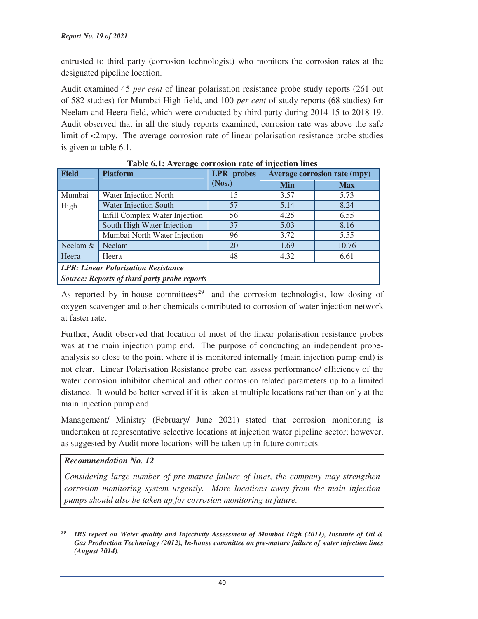entrusted to third party (corrosion technologist) who monitors the corrosion rates at the designated pipeline location.

Audit examined 45 *per cent* of linear polarisation resistance probe study reports (261 out of 582 studies) for Mumbai High field, and 100 *per cent* of study reports (68 studies) for Neelam and Heera field, which were conducted by third party during 2014-15 to 2018-19. Audit observed that in all the study reports examined, corrosion rate was above the safe limit of <2mpy. The average corrosion rate of linear polarisation resistance probe studies is given at table 6.1.

| <b>Field</b>                                 | <b>Platform</b>                | <b>LPR</b> probes | Twore only investigate corresponding the complete material<br><b>Average corrosion rate (mpy)</b> |            |  |  |
|----------------------------------------------|--------------------------------|-------------------|---------------------------------------------------------------------------------------------------|------------|--|--|
|                                              |                                | (Nos.)            | Min                                                                                               | <b>Max</b> |  |  |
| Mumbai                                       | Water Injection North          | 15                | 3.57                                                                                              | 5.73       |  |  |
| High                                         | <b>Water Injection South</b>   | 57                | 5.14                                                                                              | 8.24       |  |  |
|                                              | Infill Complex Water Injection | 56                | 4.25                                                                                              | 6.55       |  |  |
|                                              | South High Water Injection     | 37                | 5.03                                                                                              | 8.16       |  |  |
|                                              | Mumbai North Water Injection   | 96                | 3.72                                                                                              | 5.55       |  |  |
| Neelam $&$                                   | Neelam                         | 20                | 1.69                                                                                              | 10.76      |  |  |
| Heera                                        | Heera                          | 48                | 4.32                                                                                              | 6.61       |  |  |
| <b>LPR: Linear Polarisation Resistance</b>   |                                |                   |                                                                                                   |            |  |  |
| Source: Reports of third party probe reports |                                |                   |                                                                                                   |            |  |  |

**Table 6.1: Average corrosion rate of injection lines** 

As reported by in-house committees<sup>29</sup> and the corrosion technologist, low dosing of oxygen scavenger and other chemicals contributed to corrosion of water injection network at faster rate.

Further, Audit observed that location of most of the linear polarisation resistance probes was at the main injection pump end. The purpose of conducting an independent probeanalysis so close to the point where it is monitored internally (main injection pump end) is not clear. Linear Polarisation Resistance probe can assess performance/ efficiency of the water corrosion inhibitor chemical and other corrosion related parameters up to a limited distance. It would be better served if it is taken at multiple locations rather than only at the main injection pump end.

Management/ Ministry (February/ June 2021) stated that corrosion monitoring is undertaken at representative selective locations at injection water pipeline sector; however, as suggested by Audit more locations will be taken up in future contracts.

# *Recommendation No. 12*

*Considering large number of pre-mature failure of lines, the company may strengthen corrosion monitoring system urgently. More locations away from the main injection pumps should also be taken up for corrosion monitoring in future.*

 *<sup>29</sup> IRS report on Water quality and Injectivity Assessment of Mumbai High (2011), Institute of Oil & Gas Production Technology (2012), In-house committee on pre-mature failure of water injection lines (August 2014).*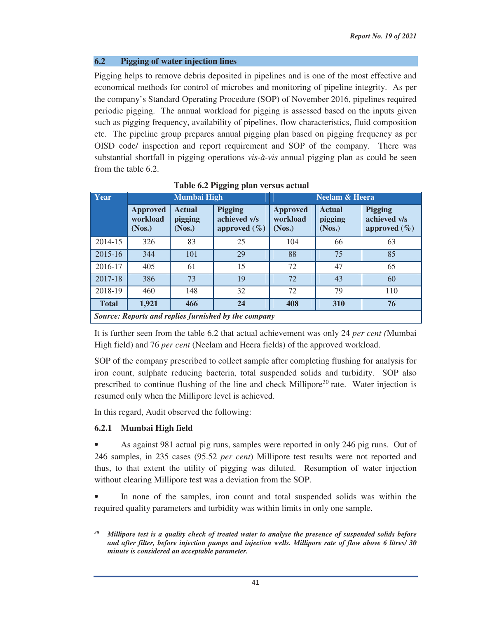# **6.2 Pigging of water injection lines**

Pigging helps to remove debris deposited in pipelines and is one of the most effective and economical methods for control of microbes and monitoring of pipeline integrity. As per the company's Standard Operating Procedure (SOP) of November 2016, pipelines required periodic pigging. The annual workload for pigging is assessed based on the inputs given such as pigging frequency, availability of pipelines, flow characteristics, fluid composition etc. The pipeline group prepares annual pigging plan based on pigging frequency as per OISD code/ inspection and report requirement and SOP of the company. There was substantial shortfall in pigging operations *vis-à-vis* annual pigging plan as could be seen from the table 6.2.

| Year                                                 | Mumbai High                           |                                    |                                                    | <b>Neelam &amp; Heera</b>             |                                    |                                                    |  |
|------------------------------------------------------|---------------------------------------|------------------------------------|----------------------------------------------------|---------------------------------------|------------------------------------|----------------------------------------------------|--|
|                                                      | <b>Approved</b><br>workload<br>(Nos.) | <b>Actual</b><br>pigging<br>(Nos.) | <b>Pigging</b><br>achieved v/s<br>approved $(\% )$ | <b>Approved</b><br>workload<br>(Nos.) | <b>Actual</b><br>pigging<br>(Nos.) | <b>Pigging</b><br>achieved v/s<br>approved $(\% )$ |  |
| 2014-15                                              | 326                                   | 83                                 | 25                                                 | 104                                   | 66                                 | 63                                                 |  |
| 2015-16                                              | 344                                   | 101                                | 29                                                 | 88                                    | 75                                 | 85                                                 |  |
| 2016-17                                              | 405                                   | 61                                 | 15                                                 | 72                                    | 47                                 | 65                                                 |  |
| 2017-18                                              | 386                                   | 73                                 | 19                                                 | 72                                    | 43                                 | 60                                                 |  |
| 2018-19                                              | 460                                   | 148                                | 32                                                 | 72                                    | 79                                 | 110                                                |  |
| <b>Total</b>                                         | 1,921                                 | 466                                | 24                                                 | 408                                   | 310                                | 76                                                 |  |
| Source: Reports and replies furnished by the company |                                       |                                    |                                                    |                                       |                                    |                                                    |  |

**Table 6.2 Pigging plan versus actual** 

It is further seen from the table 6.2 that actual achievement was only 24 *per cent (*Mumbai High field) and 76 *per cent* (Neelam and Heera fields) of the approved workload.

SOP of the company prescribed to collect sample after completing flushing for analysis for iron count, sulphate reducing bacteria, total suspended solids and turbidity. SOP also prescribed to continue flushing of the line and check Millipore<sup>30</sup> rate. Water injection is resumed only when the Millipore level is achieved.

In this regard, Audit observed the following:

# **6.2.1 Mumbai High field**

• As against 981 actual pig runs, samples were reported in only 246 pig runs. Out of 246 samples, in 235 cases (95.52 *per cent*) Millipore test results were not reported and thus, to that extent the utility of pigging was diluted. Resumption of water injection without clearing Millipore test was a deviation from the SOP.

In none of the samples, iron count and total suspended solids was within the required quality parameters and turbidity was within limits in only one sample.

*<sup>30</sup> Millipore test is a quality check of treated water to analyse the presence of suspended solids before and after filter, before injection pumps and injection wells. Millipore rate of flow above 6 litres/ 30 minute is considered an acceptable parameter.*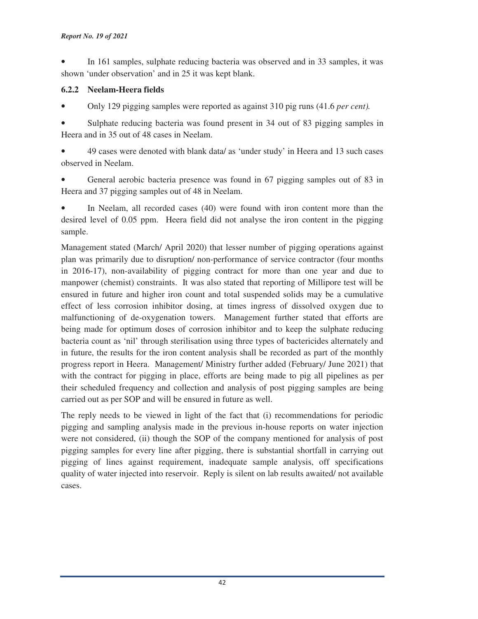• In 161 samples, sulphate reducing bacteria was observed and in 33 samples, it was shown 'under observation' and in 25 it was kept blank.

# **6.2.2 Neelam-Heera fields**

• Only 129 pigging samples were reported as against 310 pig runs (41.6 *per cent).*

• Sulphate reducing bacteria was found present in 34 out of 83 pigging samples in Heera and in 35 out of 48 cases in Neelam.

• 49 cases were denoted with blank data/ as 'under study' in Heera and 13 such cases observed in Neelam.

• General aerobic bacteria presence was found in 67 pigging samples out of 83 in Heera and 37 pigging samples out of 48 in Neelam.

In Neelam, all recorded cases (40) were found with iron content more than the desired level of 0.05 ppm. Heera field did not analyse the iron content in the pigging sample.

Management stated (March/ April 2020) that lesser number of pigging operations against plan was primarily due to disruption/ non-performance of service contractor (four months in 2016-17), non-availability of pigging contract for more than one year and due to manpower (chemist) constraints. It was also stated that reporting of Millipore test will be ensured in future and higher iron count and total suspended solids may be a cumulative effect of less corrosion inhibitor dosing, at times ingress of dissolved oxygen due to malfunctioning of de-oxygenation towers. Management further stated that efforts are being made for optimum doses of corrosion inhibitor and to keep the sulphate reducing bacteria count as 'nil' through sterilisation using three types of bactericides alternately and in future, the results for the iron content analysis shall be recorded as part of the monthly progress report in Heera. Management/ Ministry further added (February/ June 2021) that with the contract for pigging in place, efforts are being made to pig all pipelines as per their scheduled frequency and collection and analysis of post pigging samples are being carried out as per SOP and will be ensured in future as well.

The reply needs to be viewed in light of the fact that (i) recommendations for periodic pigging and sampling analysis made in the previous in-house reports on water injection were not considered, (ii) though the SOP of the company mentioned for analysis of post pigging samples for every line after pigging, there is substantial shortfall in carrying out pigging of lines against requirement, inadequate sample analysis, off specifications quality of water injected into reservoir. Reply is silent on lab results awaited/ not available cases.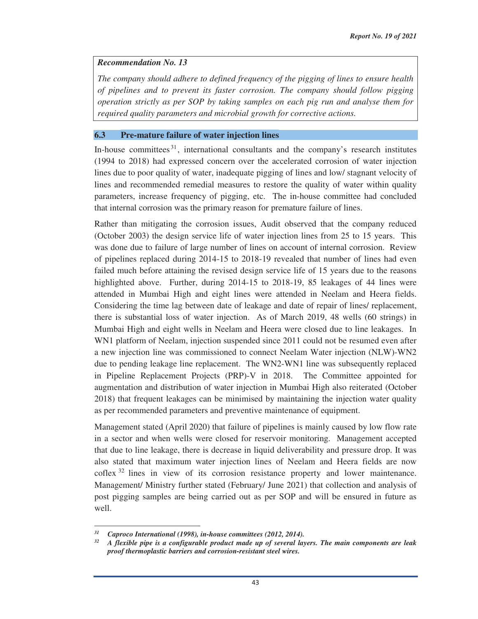#### *Recommendation No. 13*

*The company should adhere to defined frequency of the pigging of lines to ensure health of pipelines and to prevent its faster corrosion. The company should follow pigging operation strictly as per SOP by taking samples on each pig run and analyse them for required quality parameters and microbial growth for corrective actions.* 

#### **6.3 Pre-mature failure of water injection lines**

In-house committees  $31$ , international consultants and the company's research institutes (1994 to 2018) had expressed concern over the accelerated corrosion of water injection lines due to poor quality of water, inadequate pigging of lines and low/ stagnant velocity of lines and recommended remedial measures to restore the quality of water within quality parameters, increase frequency of pigging, etc. The in-house committee had concluded that internal corrosion was the primary reason for premature failure of lines.

Rather than mitigating the corrosion issues, Audit observed that the company reduced (October 2003) the design service life of water injection lines from 25 to 15 years. This was done due to failure of large number of lines on account of internal corrosion. Review of pipelines replaced during 2014-15 to 2018-19 revealed that number of lines had even failed much before attaining the revised design service life of 15 years due to the reasons highlighted above. Further, during 2014-15 to 2018-19, 85 leakages of 44 lines were attended in Mumbai High and eight lines were attended in Neelam and Heera fields. Considering the time lag between date of leakage and date of repair of lines/ replacement, there is substantial loss of water injection. As of March 2019, 48 wells (60 strings) in Mumbai High and eight wells in Neelam and Heera were closed due to line leakages. In WN1 platform of Neelam, injection suspended since 2011 could not be resumed even after a new injection line was commissioned to connect Neelam Water injection (NLW)-WN2 due to pending leakage line replacement. The WN2-WN1 line was subsequently replaced in Pipeline Replacement Projects (PRP)-V in 2018. The Committee appointed for augmentation and distribution of water injection in Mumbai High also reiterated (October 2018) that frequent leakages can be minimised by maintaining the injection water quality as per recommended parameters and preventive maintenance of equipment.

Management stated (April 2020) that failure of pipelines is mainly caused by low flow rate in a sector and when wells were closed for reservoir monitoring. Management accepted that due to line leakage, there is decrease in liquid deliverability and pressure drop. It was also stated that maximum water injection lines of Neelam and Heera fields are now coflex 32 lines in view of its corrosion resistance property and lower maintenance. Management/ Ministry further stated (February/ June 2021) that collection and analysis of post pigging samples are being carried out as per SOP and will be ensured in future as well.

<sup>&</sup>lt;sup>31</sup> Caproco International (1998), in-house committees (2012, 2014).

*<sup>32</sup> A flexible pipe is a configurable product made up of several layers. The main components are leak proof thermoplastic barriers and corrosion-resistant steel wires.*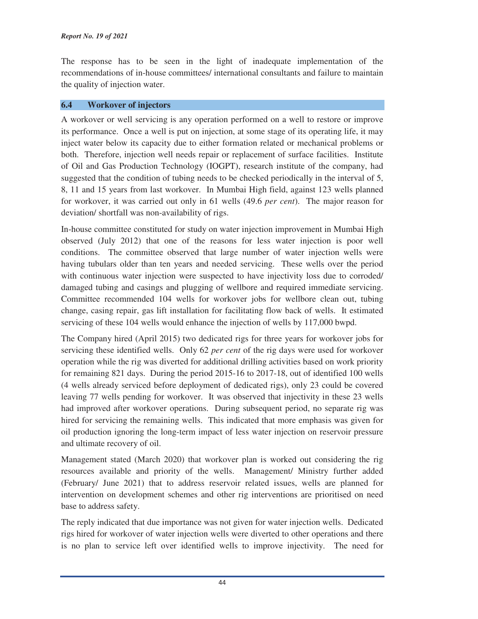The response has to be seen in the light of inadequate implementation of the recommendations of in-house committees/ international consultants and failure to maintain the quality of injection water.

# **6.4 Workover of injectors**

A workover or well servicing is any operation performed on a well to restore or improve its performance. Once a well is put on injection, at some stage of its operating life, it may inject water below its capacity due to either formation related or mechanical problems or both. Therefore, injection well needs repair or replacement of surface facilities. Institute of Oil and Gas Production Technology (IOGPT), research institute of the company, had suggested that the condition of tubing needs to be checked periodically in the interval of 5, 8, 11 and 15 years from last workover. In Mumbai High field, against 123 wells planned for workover, it was carried out only in 61 wells (49.6 *per cent*). The major reason for deviation/ shortfall was non-availability of rigs.

In-house committee constituted for study on water injection improvement in Mumbai High observed (July 2012) that one of the reasons for less water injection is poor well conditions. The committee observed that large number of water injection wells were having tubulars older than ten years and needed servicing. These wells over the period with continuous water injection were suspected to have injectivity loss due to corroded/ damaged tubing and casings and plugging of wellbore and required immediate servicing. Committee recommended 104 wells for workover jobs for wellbore clean out, tubing change, casing repair, gas lift installation for facilitating flow back of wells. It estimated servicing of these 104 wells would enhance the injection of wells by 117,000 bwpd.

The Company hired (April 2015) two dedicated rigs for three years for workover jobs for servicing these identified wells. Only 62 *per cent* of the rig days were used for workover operation while the rig was diverted for additional drilling activities based on work priority for remaining 821 days. During the period 2015-16 to 2017-18, out of identified 100 wells (4 wells already serviced before deployment of dedicated rigs), only 23 could be covered leaving 77 wells pending for workover. It was observed that injectivity in these 23 wells had improved after workover operations. During subsequent period, no separate rig was hired for servicing the remaining wells. This indicated that more emphasis was given for oil production ignoring the long-term impact of less water injection on reservoir pressure and ultimate recovery of oil.

Management stated (March 2020) that workover plan is worked out considering the rig resources available and priority of the wells. Management/ Ministry further added (February/ June 2021) that to address reservoir related issues, wells are planned for intervention on development schemes and other rig interventions are prioritised on need base to address safety.

The reply indicated that due importance was not given for water injection wells. Dedicated rigs hired for workover of water injection wells were diverted to other operations and there is no plan to service left over identified wells to improve injectivity. The need for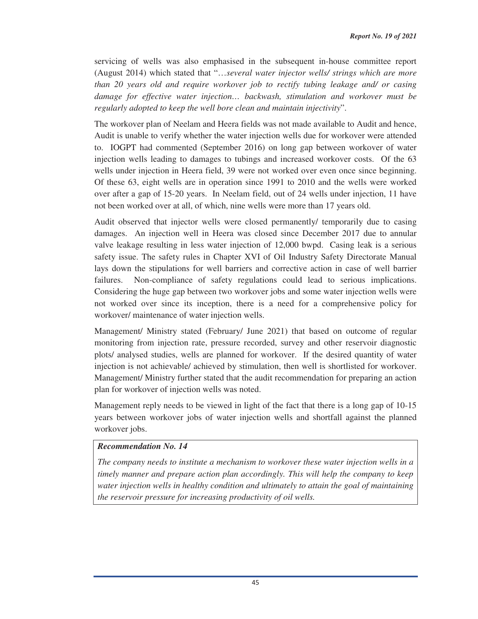servicing of wells was also emphasised in the subsequent in-house committee report (August 2014) which stated that "…*several water injector wells/ strings which are more than 20 years old and require workover job to rectify tubing leakage and/ or casing damage for effective water injection… backwash, stimulation and workover must be regularly adopted to keep the well bore clean and maintain injectivity*".

The workover plan of Neelam and Heera fields was not made available to Audit and hence, Audit is unable to verify whether the water injection wells due for workover were attended to. IOGPT had commented (September 2016) on long gap between workover of water injection wells leading to damages to tubings and increased workover costs. Of the 63 wells under injection in Heera field, 39 were not worked over even once since beginning. Of these 63, eight wells are in operation since 1991 to 2010 and the wells were worked over after a gap of 15-20 years. In Neelam field, out of 24 wells under injection, 11 have not been worked over at all, of which, nine wells were more than 17 years old.

Audit observed that injector wells were closed permanently/ temporarily due to casing damages. An injection well in Heera was closed since December 2017 due to annular valve leakage resulting in less water injection of 12,000 bwpd. Casing leak is a serious safety issue. The safety rules in Chapter XVI of Oil Industry Safety Directorate Manual lays down the stipulations for well barriers and corrective action in case of well barrier failures. Non-compliance of safety regulations could lead to serious implications. Considering the huge gap between two workover jobs and some water injection wells were not worked over since its inception, there is a need for a comprehensive policy for workover/ maintenance of water injection wells.

Management/ Ministry stated (February/ June 2021) that based on outcome of regular monitoring from injection rate, pressure recorded, survey and other reservoir diagnostic plots/ analysed studies, wells are planned for workover. If the desired quantity of water injection is not achievable/ achieved by stimulation, then well is shortlisted for workover. Management/ Ministry further stated that the audit recommendation for preparing an action plan for workover of injection wells was noted.

Management reply needs to be viewed in light of the fact that there is a long gap of 10-15 years between workover jobs of water injection wells and shortfall against the planned workover jobs.

#### *Recommendation No. 14*

*The company needs to institute a mechanism to workover these water injection wells in a timely manner and prepare action plan accordingly. This will help the company to keep water injection wells in healthy condition and ultimately to attain the goal of maintaining the reservoir pressure for increasing productivity of oil wells.*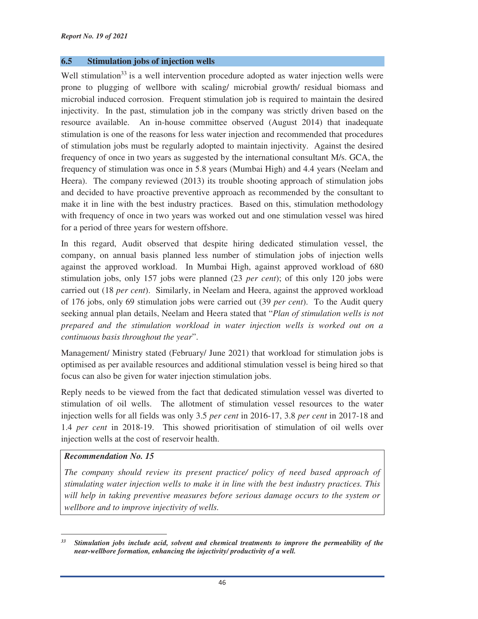#### **6.5 Stimulation jobs of injection wells**

Well stimulation<sup>33</sup> is a well intervention procedure adopted as water injection wells were prone to plugging of wellbore with scaling/ microbial growth/ residual biomass and microbial induced corrosion. Frequent stimulation job is required to maintain the desired injectivity. In the past, stimulation job in the company was strictly driven based on the resource available. An in-house committee observed (August 2014) that inadequate stimulation is one of the reasons for less water injection and recommended that procedures of stimulation jobs must be regularly adopted to maintain injectivity. Against the desired frequency of once in two years as suggested by the international consultant M/s. GCA, the frequency of stimulation was once in 5.8 years (Mumbai High) and 4.4 years (Neelam and Heera). The company reviewed (2013) its trouble shooting approach of stimulation jobs and decided to have proactive preventive approach as recommended by the consultant to make it in line with the best industry practices. Based on this, stimulation methodology with frequency of once in two years was worked out and one stimulation vessel was hired for a period of three years for western offshore.

In this regard, Audit observed that despite hiring dedicated stimulation vessel, the company, on annual basis planned less number of stimulation jobs of injection wells against the approved workload. In Mumbai High, against approved workload of 680 stimulation jobs, only 157 jobs were planned (23 *per cent*); of this only 120 jobs were carried out (18 *per cent*). Similarly, in Neelam and Heera, against the approved workload of 176 jobs, only 69 stimulation jobs were carried out (39 *per cent*). To the Audit query seeking annual plan details, Neelam and Heera stated that "*Plan of stimulation wells is not prepared and the stimulation workload in water injection wells is worked out on a continuous basis throughout the year*".

Management/ Ministry stated (February/ June 2021) that workload for stimulation jobs is optimised as per available resources and additional stimulation vessel is being hired so that focus can also be given for water injection stimulation jobs.

Reply needs to be viewed from the fact that dedicated stimulation vessel was diverted to stimulation of oil wells. The allotment of stimulation vessel resources to the water injection wells for all fields was only 3.5 *per cent* in 2016-17, 3.8 *per cent* in 2017-18 and 1.4 *per cent* in 2018-19. This showed prioritisation of stimulation of oil wells over injection wells at the cost of reservoir health.

#### *Recommendation No. 15*

*The company should review its present practice/ policy of need based approach of stimulating water injection wells to make it in line with the best industry practices. This will help in taking preventive measures before serious damage occurs to the system or wellbore and to improve injectivity of wells.*

<sup>&</sup>lt;u> 1989 - Johann Stein, mars ar breithinn ar chuid ann an t-</u> *<sup>33</sup> Stimulation jobs include acid, solvent and chemical treatments to improve the permeability of the near-wellbore formation, enhancing the injectivity/ productivity of a well.*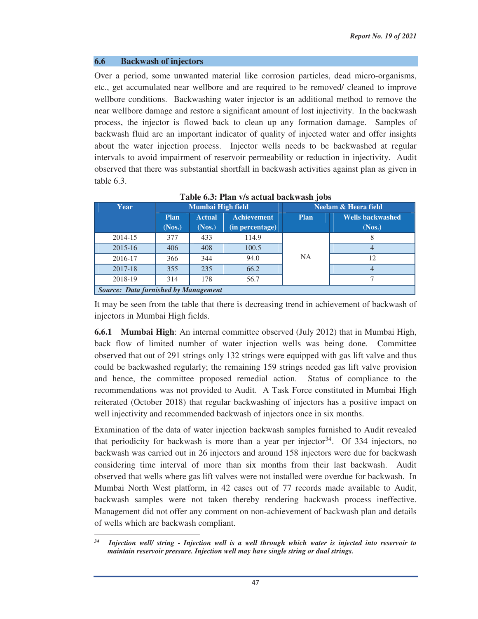#### **6.6 Backwash of injectors**

Over a period, some unwanted material like corrosion particles, dead micro-organisms, etc., get accumulated near wellbore and are required to be removed/ cleaned to improve wellbore conditions. Backwashing water injector is an additional method to remove the near wellbore damage and restore a significant amount of lost injectivity. In the backwash process, the injector is flowed back to clean up any formation damage. Samples of backwash fluid are an important indicator of quality of injected water and offer insights about the water injection process. Injector wells needs to be backwashed at regular intervals to avoid impairment of reservoir permeability or reduction in injectivity. Audit observed that there was substantial shortfall in backwash activities against plan as given in table 6.3.

| Year                                        | Mumbai High field |               | Neelam & Heera field |             |                         |  |
|---------------------------------------------|-------------------|---------------|----------------------|-------------|-------------------------|--|
|                                             | <b>Plan</b>       | <b>Actual</b> | <b>Achievement</b>   | <b>Plan</b> | <b>Wells backwashed</b> |  |
|                                             | (Nos.)            | (Nos.)        | (in percentage)      |             | (Nos.)                  |  |
| 2014-15                                     | 377               | 433           | 114.9                |             |                         |  |
| $2015 - 16$                                 | 406               | 408           | 100.5                |             | 4                       |  |
| 2016-17                                     | 366               | 344           | 94.0                 | <b>NA</b>   | 12                      |  |
| 2017-18                                     | 355               | 235           | 66.2                 |             | 4                       |  |
| 2018-19                                     | 314               | 178           | 56.7                 |             |                         |  |
| <b>Source: Data furnished by Management</b> |                   |               |                      |             |                         |  |

**Table 6.3: Plan v/s actual backwash jobs** 

It may be seen from the table that there is decreasing trend in achievement of backwash of injectors in Mumbai High fields.

**6.6.1 Mumbai High**: An internal committee observed (July 2012) that in Mumbai High, back flow of limited number of water injection wells was being done. Committee observed that out of 291 strings only 132 strings were equipped with gas lift valve and thus could be backwashed regularly; the remaining 159 strings needed gas lift valve provision and hence, the committee proposed remedial action. Status of compliance to the recommendations was not provided to Audit. A Task Force constituted in Mumbai High reiterated (October 2018) that regular backwashing of injectors has a positive impact on well injectivity and recommended backwash of injectors once in six months.

Examination of the data of water injection backwash samples furnished to Audit revealed that periodicity for backwash is more than a year per injector<sup>34</sup>. Of 334 injectors, no backwash was carried out in 26 injectors and around 158 injectors were due for backwash considering time interval of more than six months from their last backwash. Audit observed that wells where gas lift valves were not installed were overdue for backwash. In Mumbai North West platform, in 42 cases out of 77 records made available to Audit, backwash samples were not taken thereby rendering backwash process ineffective. Management did not offer any comment on non-achievement of backwash plan and details of wells which are backwash compliant.

<sup>&</sup>lt;u> 1989 - Johann Stein, mars ar breithinn ar chuid ann an t-</u> *<sup>34</sup> Injection well/ string - Injection well is a well through which water is injected into reservoir to maintain reservoir pressure. Injection well may have single string or dual strings.*